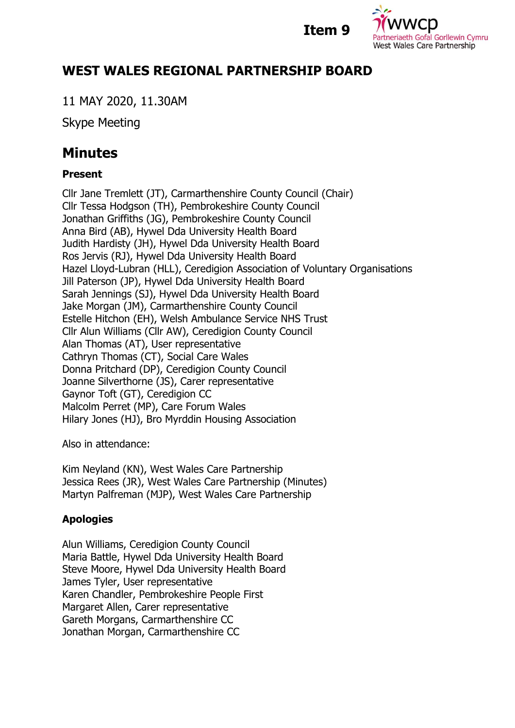



## **WEST WALES REGIONAL PARTNERSHIP BOARD**

11 MAY 2020, 11.30AM

Skype Meeting

# **Minutes**

### **Present**

Cllr Jane Tremlett (JT), Carmarthenshire County Council (Chair) Cllr Tessa Hodgson (TH), Pembrokeshire County Council Jonathan Griffiths (JG), Pembrokeshire County Council Anna Bird (AB), Hywel Dda University Health Board Judith Hardisty (JH), Hywel Dda University Health Board Ros Jervis (RJ), Hywel Dda University Health Board Hazel Lloyd-Lubran (HLL), Ceredigion Association of Voluntary Organisations Jill Paterson (JP), Hywel Dda University Health Board Sarah Jennings (SJ), Hywel Dda University Health Board Jake Morgan (JM), Carmarthenshire County Council Estelle Hitchon (EH), Welsh Ambulance Service NHS Trust Cllr Alun Williams (Cllr AW), Ceredigion County Council Alan Thomas (AT), User representative Cathryn Thomas (CT), Social Care Wales Donna Pritchard (DP), Ceredigion County Council Joanne Silverthorne (JS), Carer representative Gaynor Toft (GT), Ceredigion CC Malcolm Perret (MP), Care Forum Wales Hilary Jones (HJ), Bro Myrddin Housing Association

Also in attendance:

Kim Neyland (KN), West Wales Care Partnership Jessica Rees (JR), West Wales Care Partnership (Minutes) Martyn Palfreman (MJP), West Wales Care Partnership

## **Apologies**

Alun Williams, Ceredigion County Council Maria Battle, Hywel Dda University Health Board Steve Moore, Hywel Dda University Health Board James Tyler, User representative Karen Chandler, Pembrokeshire People First Margaret Allen, Carer representative Gareth Morgans, Carmarthenshire CC Jonathan Morgan, Carmarthenshire CC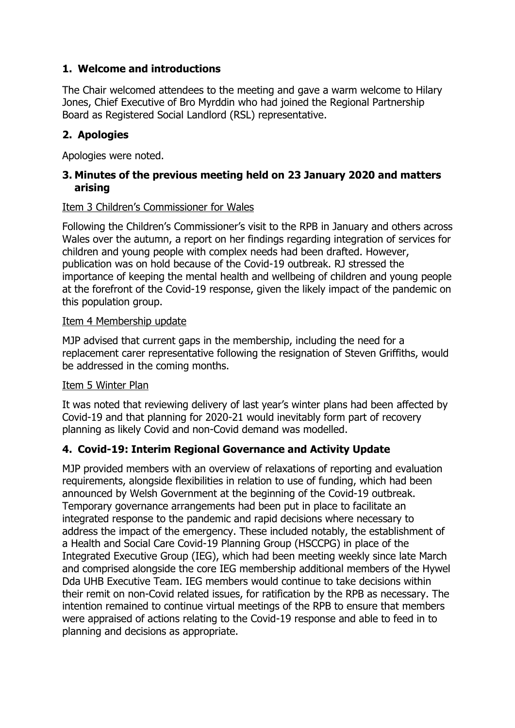#### **1. Welcome and introductions**

The Chair welcomed attendees to the meeting and gave a warm welcome to Hilary Jones, Chief Executive of Bro Myrddin who had joined the Regional Partnership Board as Registered Social Landlord (RSL) representative.

#### **2. Apologies**

Apologies were noted.

#### **3. Minutes of the previous meeting held on 23 January 2020 and matters arising**

#### Item 3 Children's Commissioner for Wales

Following the Children's Commissioner's visit to the RPB in January and others across Wales over the autumn, a report on her findings regarding integration of services for children and young people with complex needs had been drafted. However, publication was on hold because of the Covid-19 outbreak. RJ stressed the importance of keeping the mental health and wellbeing of children and young people at the forefront of the Covid-19 response, given the likely impact of the pandemic on this population group.

#### Item 4 Membership update

MJP advised that current gaps in the membership, including the need for a replacement carer representative following the resignation of Steven Griffiths, would be addressed in the coming months.

#### Item 5 Winter Plan

It was noted that reviewing delivery of last year's winter plans had been affected by Covid-19 and that planning for 2020-21 would inevitably form part of recovery planning as likely Covid and non-Covid demand was modelled.

#### **4. Covid-19: Interim Regional Governance and Activity Update**

MJP provided members with an overview of relaxations of reporting and evaluation requirements, alongside flexibilities in relation to use of funding, which had been announced by Welsh Government at the beginning of the Covid-19 outbreak. Temporary governance arrangements had been put in place to facilitate an integrated response to the pandemic and rapid decisions where necessary to address the impact of the emergency. These included notably, the establishment of a Health and Social Care Covid-19 Planning Group (HSCCPG) in place of the Integrated Executive Group (IEG), which had been meeting weekly since late March and comprised alongside the core IEG membership additional members of the Hywel Dda UHB Executive Team. IEG members would continue to take decisions within their remit on non-Covid related issues, for ratification by the RPB as necessary. The intention remained to continue virtual meetings of the RPB to ensure that members were appraised of actions relating to the Covid-19 response and able to feed in to planning and decisions as appropriate.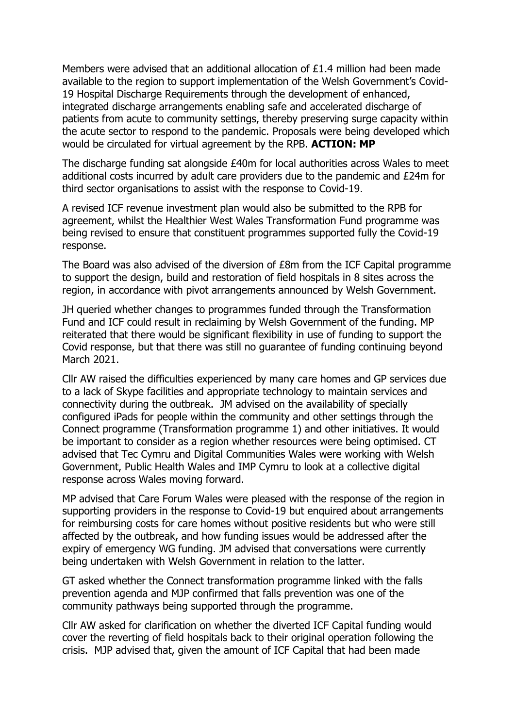Members were advised that an additional allocation of  $£1.4$  million had been made available to the region to support implementation of the Welsh Government's Covid-19 Hospital Discharge Requirements through the development of enhanced, integrated discharge arrangements enabling safe and accelerated discharge of patients from acute to community settings, thereby preserving surge capacity within the acute sector to respond to the pandemic. Proposals were being developed which would be circulated for virtual agreement by the RPB. **ACTION: MP**

The discharge funding sat alongside £40m for local authorities across Wales to meet additional costs incurred by adult care providers due to the pandemic and £24m for third sector organisations to assist with the response to Covid-19.

A revised ICF revenue investment plan would also be submitted to the RPB for agreement, whilst the Healthier West Wales Transformation Fund programme was being revised to ensure that constituent programmes supported fully the Covid-19 response.

The Board was also advised of the diversion of £8m from the ICF Capital programme to support the design, build and restoration of field hospitals in 8 sites across the region, in accordance with pivot arrangements announced by Welsh Government.

JH queried whether changes to programmes funded through the Transformation Fund and ICF could result in reclaiming by Welsh Government of the funding. MP reiterated that there would be significant flexibility in use of funding to support the Covid response, but that there was still no guarantee of funding continuing beyond March 2021.

Cllr AW raised the difficulties experienced by many care homes and GP services due to a lack of Skype facilities and appropriate technology to maintain services and connectivity during the outbreak. JM advised on the availability of specially configured iPads for people within the community and other settings through the Connect programme (Transformation programme 1) and other initiatives. It would be important to consider as a region whether resources were being optimised. CT advised that Tec Cymru and Digital Communities Wales were working with Welsh Government, Public Health Wales and IMP Cymru to look at a collective digital response across Wales moving forward.

MP advised that Care Forum Wales were pleased with the response of the region in supporting providers in the response to Covid-19 but enquired about arrangements for reimbursing costs for care homes without positive residents but who were still affected by the outbreak, and how funding issues would be addressed after the expiry of emergency WG funding. JM advised that conversations were currently being undertaken with Welsh Government in relation to the latter.

GT asked whether the Connect transformation programme linked with the falls prevention agenda and MJP confirmed that falls prevention was one of the community pathways being supported through the programme.

Cllr AW asked for clarification on whether the diverted ICF Capital funding would cover the reverting of field hospitals back to their original operation following the crisis. MJP advised that, given the amount of ICF Capital that had been made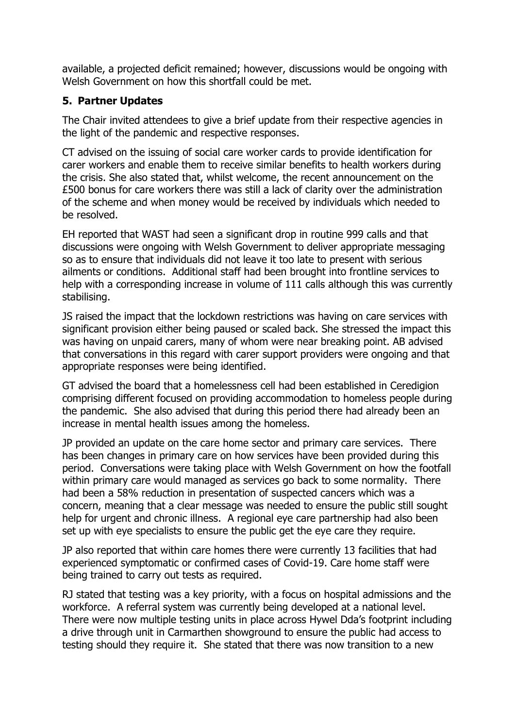available, a projected deficit remained; however, discussions would be ongoing with Welsh Government on how this shortfall could be met.

#### **5. Partner Updates**

The Chair invited attendees to give a brief update from their respective agencies in the light of the pandemic and respective responses.

CT advised on the issuing of social care worker cards to provide identification for carer workers and enable them to receive similar benefits to health workers during the crisis. She also stated that, whilst welcome, the recent announcement on the £500 bonus for care workers there was still a lack of clarity over the administration of the scheme and when money would be received by individuals which needed to be resolved.

EH reported that WAST had seen a significant drop in routine 999 calls and that discussions were ongoing with Welsh Government to deliver appropriate messaging so as to ensure that individuals did not leave it too late to present with serious ailments or conditions. Additional staff had been brought into frontline services to help with a corresponding increase in volume of 111 calls although this was currently stabilising.

JS raised the impact that the lockdown restrictions was having on care services with significant provision either being paused or scaled back. She stressed the impact this was having on unpaid carers, many of whom were near breaking point. AB advised that conversations in this regard with carer support providers were ongoing and that appropriate responses were being identified.

GT advised the board that a homelessness cell had been established in Ceredigion comprising different focused on providing accommodation to homeless people during the pandemic. She also advised that during this period there had already been an increase in mental health issues among the homeless.

JP provided an update on the care home sector and primary care services. There has been changes in primary care on how services have been provided during this period. Conversations were taking place with Welsh Government on how the footfall within primary care would managed as services go back to some normality. There had been a 58% reduction in presentation of suspected cancers which was a concern, meaning that a clear message was needed to ensure the public still sought help for urgent and chronic illness. A regional eye care partnership had also been set up with eye specialists to ensure the public get the eye care they require.

JP also reported that within care homes there were currently 13 facilities that had experienced symptomatic or confirmed cases of Covid-19. Care home staff were being trained to carry out tests as required.

RJ stated that testing was a key priority, with a focus on hospital admissions and the workforce. A referral system was currently being developed at a national level. There were now multiple testing units in place across Hywel Dda's footprint including a drive through unit in Carmarthen showground to ensure the public had access to testing should they require it. She stated that there was now transition to a new